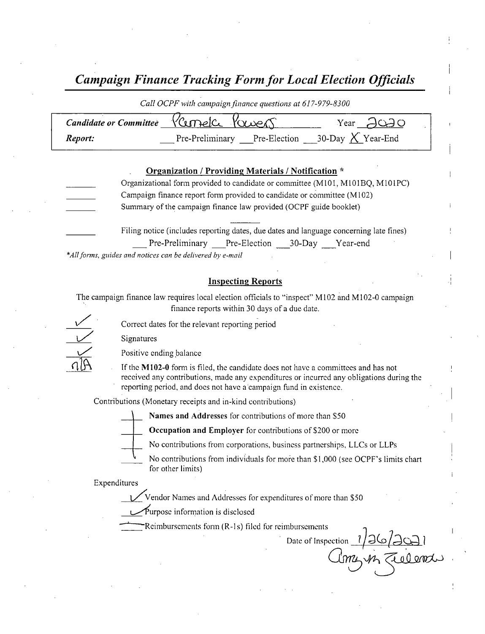Campaign Finance Tracking Form for Local Election Officials

| Call OCPF with campaign finance questions at 61/-9/9-8300 |                                                  |                                        |  |
|-----------------------------------------------------------|--------------------------------------------------|----------------------------------------|--|
| Candidate or Committee                                    | Kurnelce Kowers                                  | Year $\bigcup$ $\bigcirc$ $\bigcirc$ O |  |
| Report:                                                   | Pre-Preliminary Pre-Election 30-Day $X$ Year-End |                                        |  |
|                                                           |                                                  |                                        |  |

| Organization / Providing Materials / Notification *                           |
|-------------------------------------------------------------------------------|
| Organizational form provided to candidate or committee (M101, M101BQ, M101PC) |
| Campaign finance report form provided to candidate or committee (M102)        |
| Summary of the campaign finance law provided (OCPF guide booklet)             |
|                                                                               |

Filing notice (includes reporting dates, due dates and language concerning late fines) Pre-Preliminary Pre-Election 30-Day Year-end

\*All forms, guides and notices can be delivered by e-mail

## Inspecting Reports

The campaign finance law requires local election officials to "inspect" M102 and M102-0 campaign finance reports within 30 days of <sup>a</sup> due date.

Correct dates for the relevant reporting period

Signatures



If the  $M102-0$  form is filed, the candidate does not have a committees and has not received any contributions, made any expenditures or incurred any obligations during the reporting period, and does not have a campaign fund in existence.

Contributions ( Monetary receipts and in- kind contributions)



Names and Addresses for contributions of more than S50

Occupation and Employer for contributions of \$200 or more

No contributions from corporations, business partnerships, LLCs or LLPs

No contributions from individuals for more than \$1,000 (see OCPF's limits chart for other limits)

Expenditures

Vendor Names and Addresses for expenditures of more than \$50

Purpose information is disclosed

Reimbursements form  $(R-1s)$  filed for reimbursements

Date of Inspection 1/26/2021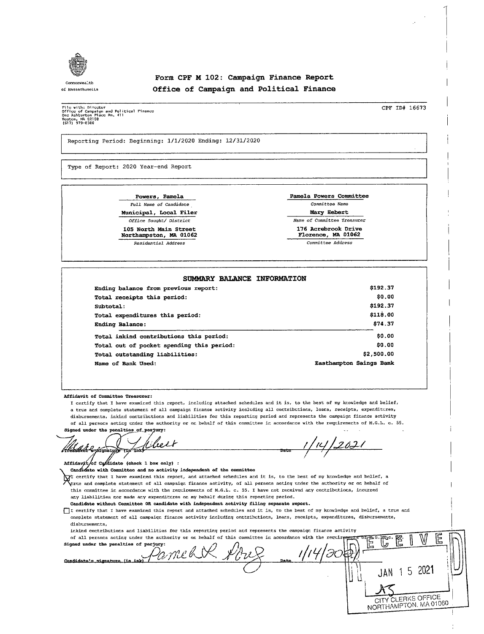

## Form CPF <sup>M</sup> 102: Campaign Finance Report Office of Campaign and Political Finance

rile with: Director<br>Office of Campaign and Political Finance<br>One Ashturton Place Rm. 411<br>(617) 979-83CC<br>(617) 979-83CC

Reporting Period: Beginning: 1/ 1/ 2020 Ending: 12/ 31/ 2020

Type of Report: 2020 Year-end Report

Powers, Pamela extra pamela Powers Committee Full Name of Candidate Committee Name Municipal, Local Filer Mary Hebert Northampston, MA 01062

Residential Address Committee Address

Office Sought/ District Name of Committee Treasurer 105 North Main Street <sup>176</sup> Acrebrook Drive

| SUMMARY BALANCE INFORMATION               |                         |
|-------------------------------------------|-------------------------|
| Ending balance from previous report:      | \$192.37                |
| Total receipts this period:               | \$0.00                  |
| Subtotal:                                 | \$192.37                |
| Total expenditures this period:           | \$118.00                |
| Ending Balance:                           | \$74.37                 |
| Total inkind contributions this period:   | \$0.00                  |
| Total out of pocket spending this period: | \$0.00                  |
| Total outstanding liabilities:            | \$2,500.00              |
| Name of Bank Used:                        | Easthampton Saings Bank |

Affidavit of Committee Treasurer:

I certify that I have examined this report, including attached schedules and it is, to the best of my knowledge and belief, <sup>a</sup> true and complete statement of all campaign finance activity including all contributions, loans, receipts, expenditures, disbursements, inkind contributions and liabilities for this reporting period and represents the campaign finance activity of all persons acting under the authority or on behalf of this committee in accordance with the requirements of M. G. L. c. 55. Signed under the penalties of perjury:

J leit 1/14/202 /Treasbret e-signature ( Z•{ ` I' Date –

 $Affiday \nmid \text{of } \text{C4}$  capididate (check 1 box only) :

Candidate with Committee and no activity independent of the committee

certify that I have examined this report, and attached schedules and it is, to the best of my knowledge and belief, a true and complete statement of all campaign finance activity, of all persons acting under the authority or on behalf of this committee in accordance with the requirements of M. G. L. c. 55. I have not received any contributions, incurred any liabilities nor made any expenditures on my behalf during this reporting period.

Candidate without Committee OR candidate with independent activity filing separate report.

DI certify that <sup>I</sup> have examined this report and attached schedules and it is, to the best of my knowledge and belief, a true and complete statement of all campaign finance activity including contributions, loans, receipts, expenditures, disbursements, disbursements,

inkind contributions and liabilities for this reporting period and represents the campaign finance activity

of all persons acting under the authority or on behalf of this committee in accordance with the requirements of  $\frac{16.0^\circ}{12}$ . Signed under the penalties of perjury:<br> $\mathcal{P}$   $\mathcal{P}$   $\mathcal{P}$   $\mathcal{P}$   $\mathcal{P}$   $\mathcal{P}$   $\mathcal{P}$  $\mathbb{G}^$ Candidate's signature (in JAN 1 5 2021 JAN 1 J COLL NORTHAMPTON. MA 01060 .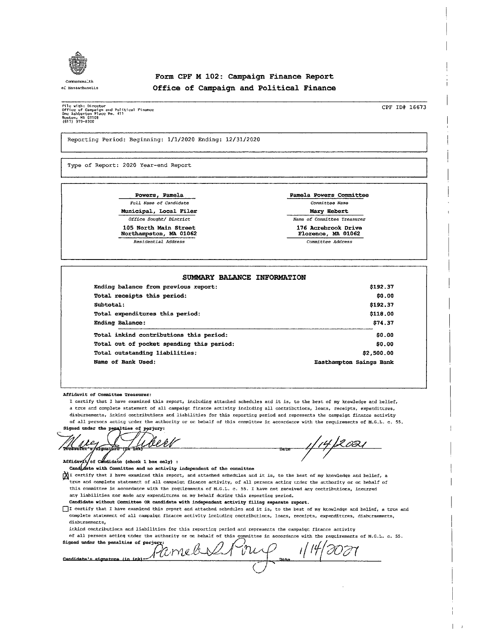

## Form CPF M 102: Campaign Finance Report of MasnachuseLLs Office of Campaign and Political Finance

rile with: Director<br>Office of Campaign and Political Pinanc<br>One Ashburton Place Rm. 411<br>Roston, MA C21CC<br>(617) 979-03CC

CPF ID# 16673

Reporting Period: Beginning: 1/ 1/ 2020 Ending: 12/ 31/ 2020

Type of Report: 2020 Year-end Report

Powers, Pamela Pamela Powers Committee Full Name of Candidate Committee Name Municipal, Local Filer **Mary Hebert** Mary Hebert

105 North Main Street 176 Acrebrook Drive<br>Northampston, MA 01062 176 Acrebrook Drive Northampston, MA 01062

Office Sought/ District Name of Committee Treasurer

Residential Address Committee Address

14/2021

 $\overline{1}$ 

#### SUMMARY BALANCE INFORMATION

| Ending balance from previous report:      | \$192.37                |
|-------------------------------------------|-------------------------|
| Total receipts this period:               | \$0.00                  |
| Subtotal:                                 | \$192.37                |
| Total expenditures this period:           | \$118.00                |
| Ending Balance:                           | \$74.37                 |
| Total inkind contributions this period:   | \$0.00                  |
| Total out of pocket spending this period: | \$0.00                  |
| Total outstanding liabilities:            | \$2,500.00              |
| Name of Bank Used:                        | Easthampton Saings Bank |

Affidavit of Committee Treasurer:

I certify that I have examined this report, including attached schedules and it is, to the best of my knowledge and belief, a true and complete statement of all campaign finance activity including all contributions, loans, receipts, expenditures, disbursements, inkind contributions and liabilities for this reporting period and represents the campaign finance activity of all persons acting under the authority or on behalf of this committee in accordance with the requirements of M. G. L. c. 55. Fidavit of Committee<br>
I certify that I have<br>
a true and complete :<br>
disbursements, inking<br>
of all persons acting<br>
of a disputer of the penalt<br>
condidate<br>
candidate vith Committee strue and complete strue<br>
this committee in

Datz

Signed under the penalties of perjury  $\lambda$ asufer t <u>veer</u>

Affidavit, of Candidate (check 1 box only) :

Candidate with Committee and no activity independent of the committee

 $\bigvee$ I certify that I have examined this report, and attached schedules and it is, to the best of my knowledge and belief, a true and complete statement of all campaign finance activity, of all persons acting under the authority or on behalf of this committee in accordance with the requirements of M.G.L. c. 55. I have not received any contributions, incurred any liabilities nor made any expenditures on my behalf during this reporting period.

Candidate without Committee OR candidate with independent activity filing separate report.

01 certify that I have examined this report and attached schedules and it is, to the best of my knowledge and belief, a true and complete statement of all campaign finance activity including contributions, loans, receipts, expenditures, disbursements, disbursements,

inkind contributions and liabilities for this reporting period and represents the campaign finance activity

of all persons acting under the authority or on behalf of this committee in accordance with the requirements of M. G. L. c. 55.

Signed under the penalties of perjury;  $med$   $1/4$   $n$   $\varphi$   $1/4$   $\varphi$ Candidate's signature (in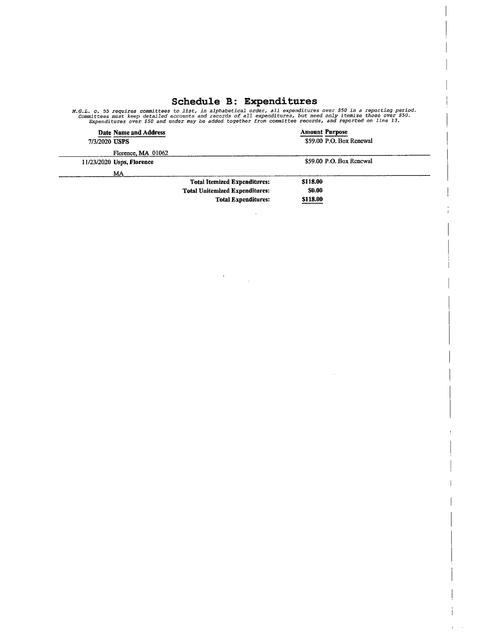# Schedule B: Expenditures

M.G.L. c. 55 requires committees to list, in alphabetical order, all expenditures over \$50 in a reporting perio<br>Committees must keep detailed accounts and records of all expenditures, but need only itemize those over \$50.<br>

|               | Date Name and Address     |                                       | <b>Amount Purpose</b>    |
|---------------|---------------------------|---------------------------------------|--------------------------|
| 7/3/2020 USPS |                           |                                       | \$59.00 P.O. Box Renewal |
|               | Florence, MA 01062        |                                       |                          |
|               | 11/23/2020 Usps, Florence |                                       | \$59.00 P.O. Box Renewal |
|               | MA                        |                                       |                          |
|               |                           | <b>Total Itemized Expenditures:</b>   | \$118.00                 |
|               |                           | <b>Total Unitemized Expenditures:</b> | <b>SO.00</b>             |
|               |                           | <b>Total Expenditures:</b>            | \$118.00                 |

 $\sim$   $\sim$ 

 $\sim$ 

 $\mathbf{r}=\mathbf{r}$ 

 $\label{eq:2} \frac{1}{2} \sum_{i=1}^n \frac{1}{2} \sum_{j=1}^n \frac{1}{2} \sum_{j=1}^n \frac{1}{2} \sum_{j=1}^n \frac{1}{2} \sum_{j=1}^n \frac{1}{2} \sum_{j=1}^n \frac{1}{2} \sum_{j=1}^n \frac{1}{2} \sum_{j=1}^n \frac{1}{2} \sum_{j=1}^n \frac{1}{2} \sum_{j=1}^n \frac{1}{2} \sum_{j=1}^n \frac{1}{2} \sum_{j=1}^n \frac{1}{2} \sum_{j=1}^n \frac{1}{$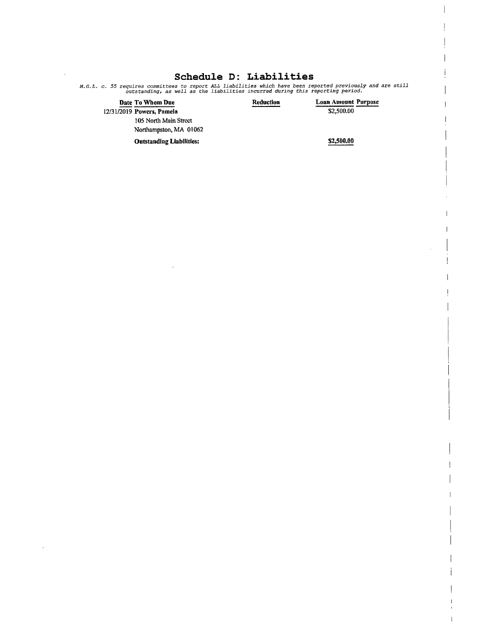# Schedule D: Liabilities

 $\sim$ 

M. G. L. c. 55 requires committees to report ALL liabilities which have been reported previously and are still outstanding, as well as the liabilities incurred during this reporting period.

| Date To Whom Due                | Reduction | <b>Loan Amount Purpose</b> |
|---------------------------------|-----------|----------------------------|
| 12/31/2019 Powers, Pamela       |           | \$2,500.00                 |
| 105 North Main Street           |           |                            |
| Northampston, MA 01062          |           |                            |
| <b>Outstanding Liabilities:</b> |           | \$2,500.00                 |

 $\bar{z}$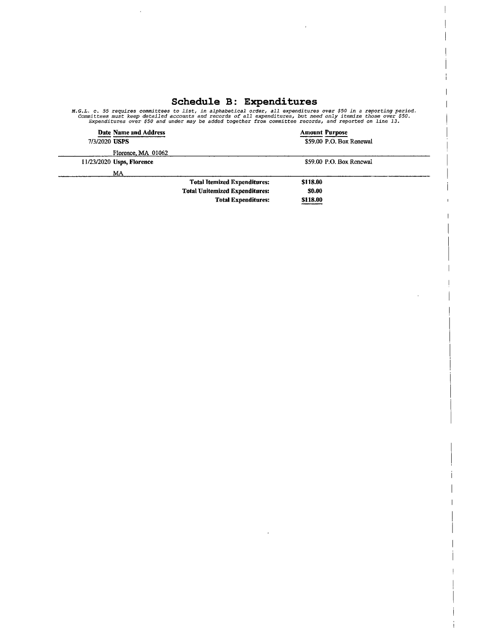## Schedule B: Expenditure

 $\overline{1}$ 

 $\hat{\boldsymbol{\beta}}$ 

M.G.L. c. 55 requires committees to list, in alphabetical order, all expenditures over \$50 in a reporting period<br>Committees must keep detailed accounts and records of all expenditures, but need only itemize those over \$50.

|               | Date Name and Address       |                                       | <b>Amount Purpose</b>    |  |
|---------------|-----------------------------|---------------------------------------|--------------------------|--|
| 7/3/2020 USPS |                             |                                       | \$59.00 P.O. Box Renewal |  |
|               | Florence, MA 01062          |                                       |                          |  |
|               | $11/23/2020$ Usps, Florence |                                       | \$59.00 P.O. Box Renewal |  |
|               | MA                          |                                       |                          |  |
|               |                             | <b>Total Itemized Expenditures:</b>   | \$118.00                 |  |
|               |                             | <b>Total Unitemized Expenditures:</b> | 50.00                    |  |

Total Unitemized Expenditures: 0.00 Total Expenditures: \$118.00

 $\mathcal{L}$